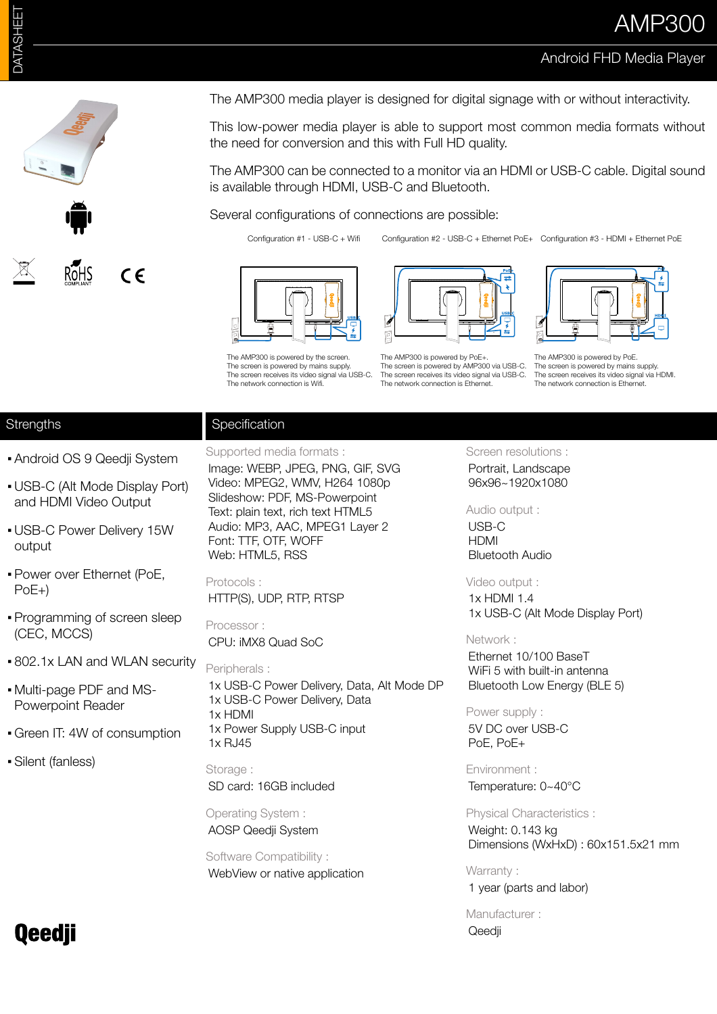## Android FHD Media Player



The AMP300 media player is designed for digital signage with or without interactivity.

This low-power media player is able to support most common media formats without the need for conversion and this with Full HD quality.

The AMP300 can be connected to a monitor via an HDMI or USB-C cable. Digital sound is available through HDMI, USB-C and Bluetooth.

Several configurations of connections are possible:

Configuration #1 - USB-C + Wifi



The AMP300 is powered by PoE. The screen is nowered by mains supply. The screen receives its video signal via HDMI. The network connection is Ethernet.

### **Strengths**

**Specification** 

▪ Android OS 9 Qeedji System

- USB-C (Alt Mode Display Port) and HDMI Video Output
- **. USB-C Power Delivery 15W** output
- Power over Ethernet (PoE, PoE+)
- Programming of screen sleep (CEC, MCCS)
- 802.1x LAN and WLAN security
- Multi-page PDF and MS-Powerpoint Reader
- Green IT: 4W of consumption
- Silent (fanless)

Supported media formats : Image: WEBP, JPEG, PNG, GIF, SVG Video: MPEG2, WMV, H264 1080p Slideshow: PDF, MS-Powerpoint Text: plain text, rich text HTML5 Audio: MP3, AAC, MPEG1 Layer 2 Font: TTF, OTF, WOFF Web: HTML5, RSS

Protocols : HTTP(S), UDP, RTP, RTSP

Processor : CPU: iMX8 Quad SoC

Peripherals : 1x USB-C Power Delivery, Data, Alt Mode DP 1x USB-C Power Delivery, Data

1x HDMI 1x Power Supply USB-C input 1x RJ45

Storage : SD card: 16GB included

Operating System : AOSP Qeedji System

Software Compatibility : WebView or native application Screen resolutions :

Portrait, Landscape 96x96~1920x1080

Audio output :

USB-C HDMI Bluetooth Audio

Video output : 1x HDMI 1.4 1x USB-C (Alt Mode Display Port)

#### Network :

Ethernet 10/100 BaseT WiFi 5 with built-in antenna Bluetooth Low Energy (BLE 5)

#### Power supply :

5V DC over USB-C PoE, PoE+

Environment : Temperature: 0~40°C

Physical Characteristics : Weight: 0.143 kg

Dimensions (WxHxD) : 60x151.5x21 mm

Warranty :

1 year (parts and labor)

Manufacturer : Qeedji

# **Qeedji**

The AMP300 is powered by the screen The screen is nowered by mains supply. The screen receives its video signal via USB-C. The network connection is Wifi.

The AMP300 is powered by PoE-The screen is powered by AMP300 via USB-C. The screen receives its video signal via USB-C. The network connection is Ethernet.

Configuration #2 - USB-C + Ethernet PoE+ Configuration #3 - HDMI + Ethernet PoE